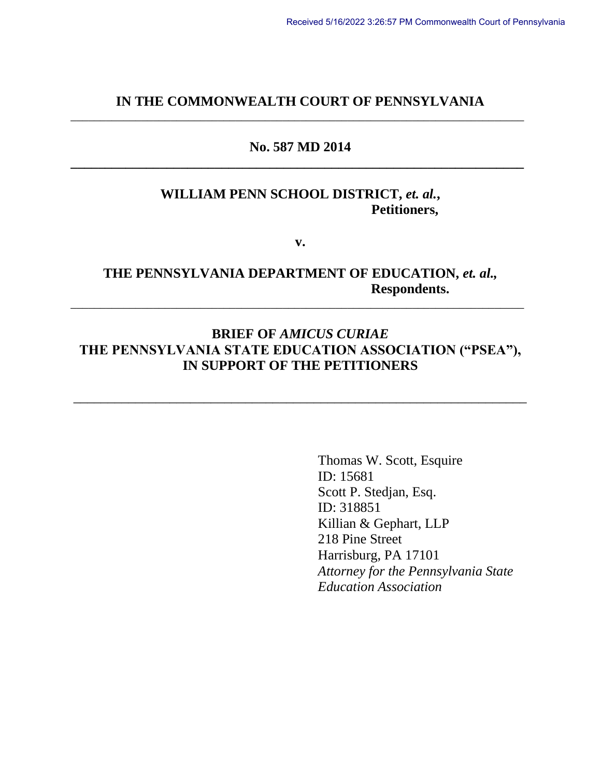#### **IN THE COMMONWEALTH COURT OF PENNSYLVANIA** \_\_\_\_\_\_\_\_\_\_\_\_\_\_\_\_\_\_\_\_\_\_\_\_\_\_\_\_\_\_\_\_\_\_\_\_\_\_\_\_\_\_\_\_\_\_\_\_\_\_\_\_\_\_\_\_\_\_\_\_\_\_\_\_\_\_\_\_\_\_\_\_\_\_\_\_\_

### **No. 587 MD 2014 \_\_\_\_\_\_\_\_\_\_\_\_\_\_\_\_\_\_\_\_\_\_\_\_\_\_\_\_\_\_\_\_\_\_\_\_\_\_\_\_\_\_\_\_\_\_\_\_\_\_\_\_\_\_\_\_\_\_\_\_\_\_\_\_\_\_**

### **WILLIAM PENN SCHOOL DISTRICT,** *et. al.***, Petitioners,**

**v.**

## **THE PENNSYLVANIA DEPARTMENT OF EDUCATION,** *et. al.,*  **Respondents.**

\_\_\_\_\_\_\_\_\_\_\_\_\_\_\_\_\_\_\_\_\_\_\_\_\_\_\_\_\_\_\_\_\_\_\_\_\_\_\_\_\_\_\_\_\_\_\_\_\_\_\_\_\_\_\_\_\_\_\_\_\_\_\_\_\_\_\_\_\_\_\_\_\_\_\_\_\_

# **BRIEF OF** *AMICUS CURIAE*  **THE PENNSYLVANIA STATE EDUCATION ASSOCIATION ("PSEA"), IN SUPPORT OF THE PETITIONERS**

\_\_\_\_\_\_\_\_\_\_\_\_\_\_\_\_\_\_\_\_\_\_\_\_\_\_\_\_\_\_\_\_\_\_\_\_\_\_\_\_\_\_\_\_\_\_\_\_\_\_\_\_\_\_\_\_\_\_\_\_\_\_\_\_\_\_

Thomas W. Scott, Esquire ID: 15681 Scott P. Stedjan, Esq. ID: 318851 Killian & Gephart, LLP 218 Pine Street Harrisburg, PA 17101 *Attorney for the Pennsylvania State Education Association*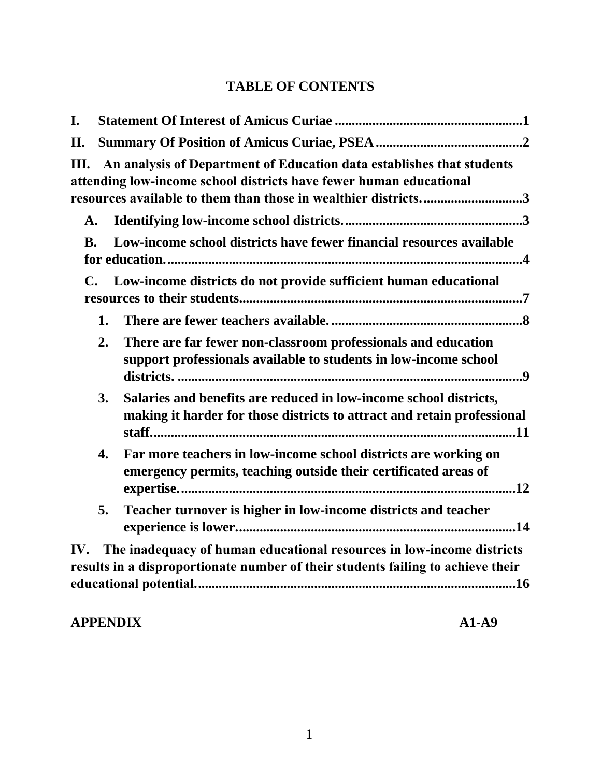# **TABLE OF CONTENTS**

| I.             |    |                                                                                                                                                                                                               |
|----------------|----|---------------------------------------------------------------------------------------------------------------------------------------------------------------------------------------------------------------|
| П.             |    |                                                                                                                                                                                                               |
| Ш.             |    | An analysis of Department of Education data establishes that students<br>attending low-income school districts have fewer human educational<br>resources available to them than those in wealthier districts3 |
| A.             |    |                                                                                                                                                                                                               |
| <b>B.</b>      |    | Low-income school districts have fewer financial resources available                                                                                                                                          |
| $\mathbf{C}$ . |    | Low-income districts do not provide sufficient human educational                                                                                                                                              |
|                | 1. |                                                                                                                                                                                                               |
|                | 2. | There are far fewer non-classroom professionals and education<br>support professionals available to students in low-income school                                                                             |
|                | 3. | Salaries and benefits are reduced in low-income school districts,<br>making it harder for those districts to attract and retain professional                                                                  |
|                | 4. | Far more teachers in low-income school districts are working on<br>emergency permits, teaching outside their certificated areas of                                                                            |
|                | 5. | Teacher turnover is higher in low-income districts and teacher                                                                                                                                                |
|                |    | IV. The inadequacy of human educational resources in low-income districts<br>results in a disproportionate number of their students failing to achieve their                                                  |

# **APPENDIX A1-A9**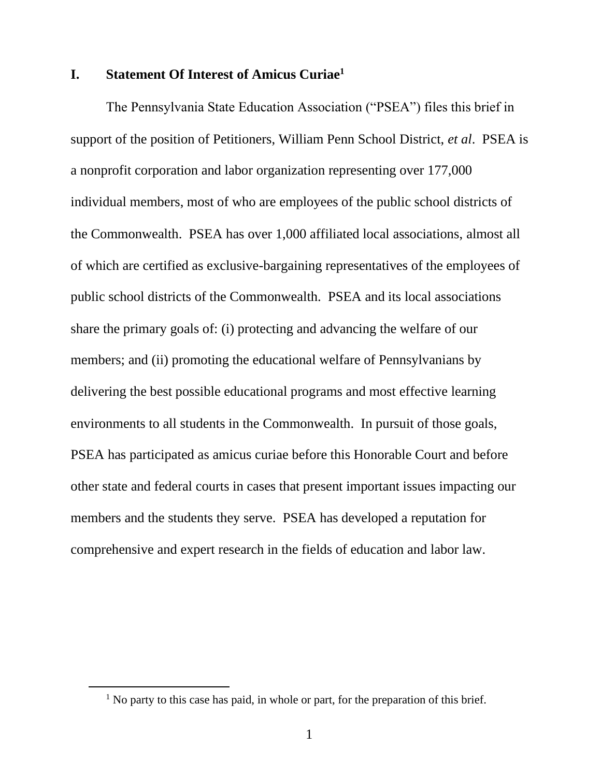### <span id="page-2-0"></span>**I. Statement Of Interest of Amicus Curiae<sup>1</sup>**

The Pennsylvania State Education Association ("PSEA") files this brief in support of the position of Petitioners, William Penn School District, *et al*. PSEA is a nonprofit corporation and labor organization representing over 177,000 individual members, most of who are employees of the public school districts of the Commonwealth. PSEA has over 1,000 affiliated local associations, almost all of which are certified as exclusive-bargaining representatives of the employees of public school districts of the Commonwealth. PSEA and its local associations share the primary goals of: (i) protecting and advancing the welfare of our members; and (ii) promoting the educational welfare of Pennsylvanians by delivering the best possible educational programs and most effective learning environments to all students in the Commonwealth. In pursuit of those goals, PSEA has participated as amicus curiae before this Honorable Court and before other state and federal courts in cases that present important issues impacting our members and the students they serve. PSEA has developed a reputation for comprehensive and expert research in the fields of education and labor law.

<sup>&</sup>lt;sup>1</sup> No party to this case has paid, in whole or part, for the preparation of this brief.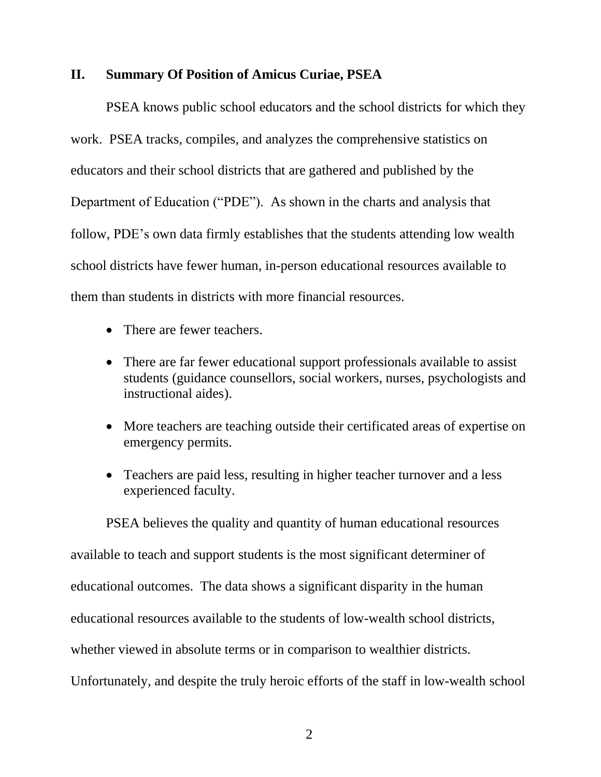#### <span id="page-3-0"></span>**II. Summary Of Position of Amicus Curiae, PSEA**

PSEA knows public school educators and the school districts for which they work. PSEA tracks, compiles, and analyzes the comprehensive statistics on educators and their school districts that are gathered and published by the Department of Education ("PDE"). As shown in the charts and analysis that follow, PDE's own data firmly establishes that the students attending low wealth school districts have fewer human, in-person educational resources available to them than students in districts with more financial resources.

- There are fewer teachers.
- There are far fewer educational support professionals available to assist students (guidance counsellors, social workers, nurses, psychologists and instructional aides).
- More teachers are teaching outside their certificated areas of expertise on emergency permits.
- Teachers are paid less, resulting in higher teacher turnover and a less experienced faculty.

PSEA believes the quality and quantity of human educational resources available to teach and support students is the most significant determiner of educational outcomes. The data shows a significant disparity in the human educational resources available to the students of low-wealth school districts, whether viewed in absolute terms or in comparison to wealthier districts. Unfortunately, and despite the truly heroic efforts of the staff in low-wealth school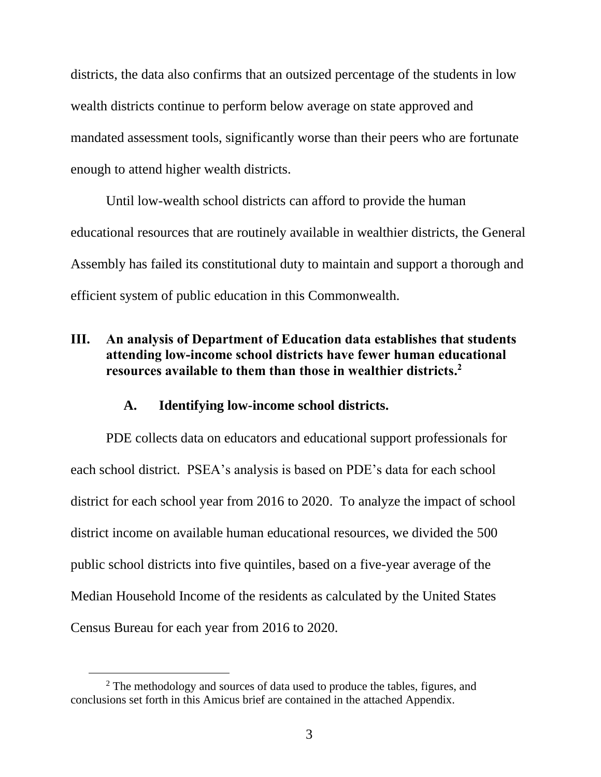districts, the data also confirms that an outsized percentage of the students in low wealth districts continue to perform below average on state approved and mandated assessment tools, significantly worse than their peers who are fortunate enough to attend higher wealth districts.

Until low-wealth school districts can afford to provide the human educational resources that are routinely available in wealthier districts, the General Assembly has failed its constitutional duty to maintain and support a thorough and efficient system of public education in this Commonwealth.

# <span id="page-4-0"></span>**III. An analysis of Department of Education data establishes that students attending low-income school districts have fewer human educational resources available to them than those in wealthier districts. 2**

#### **A. Identifying low-income school districts.**

<span id="page-4-1"></span>PDE collects data on educators and educational support professionals for each school district. PSEA's analysis is based on PDE's data for each school district for each school year from 2016 to 2020. To analyze the impact of school district income on available human educational resources, we divided the 500 public school districts into five quintiles, based on a five-year average of the Median Household Income of the residents as calculated by the United States Census Bureau for each year from 2016 to 2020.

<sup>&</sup>lt;sup>2</sup> The methodology and sources of data used to produce the tables, figures, and conclusions set forth in this Amicus brief are contained in the attached Appendix.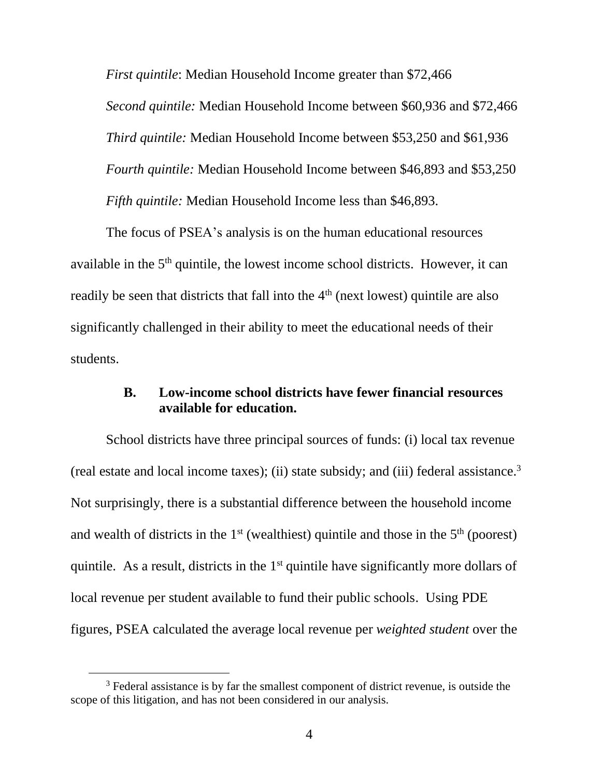*First quintile*: Median Household Income greater than \$72,466 *Second quintile:* Median Household Income between \$60,936 and \$72,466 *Third quintile:* Median Household Income between \$53,250 and \$61,936 *Fourth quintile:* Median Household Income between \$46,893 and \$53,250 *Fifth quintile:* Median Household Income less than \$46,893.

The focus of PSEA's analysis is on the human educational resources available in the  $5<sup>th</sup>$  quintile, the lowest income school districts. However, it can readily be seen that districts that fall into the 4<sup>th</sup> (next lowest) quintile are also significantly challenged in their ability to meet the educational needs of their students.

## **B. Low-income school districts have fewer financial resources available for education.**

<span id="page-5-0"></span>School districts have three principal sources of funds: (i) local tax revenue (real estate and local income taxes); (ii) state subsidy; and (iii) federal assistance.<sup>3</sup> Not surprisingly, there is a substantial difference between the household income and wealth of districts in the  $1<sup>st</sup>$  (wealthiest) quintile and those in the  $5<sup>th</sup>$  (poorest) quintile. As a result, districts in the  $1<sup>st</sup>$  quintile have significantly more dollars of local revenue per student available to fund their public schools. Using PDE figures, PSEA calculated the average local revenue per *weighted student* over the

<sup>&</sup>lt;sup>3</sup> Federal assistance is by far the smallest component of district revenue, is outside the scope of this litigation, and has not been considered in our analysis.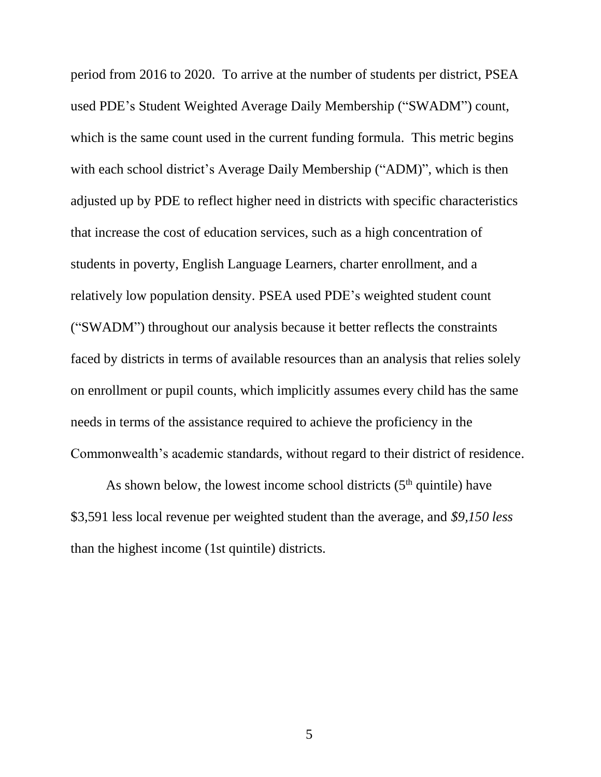period from 2016 to 2020. To arrive at the number of students per district, PSEA used PDE's Student Weighted Average Daily Membership ("SWADM") count, which is the same count used in the current funding formula. This metric begins with each school district's Average Daily Membership ("ADM)", which is then adjusted up by PDE to reflect higher need in districts with specific characteristics that increase the cost of education services, such as a high concentration of students in poverty, English Language Learners, charter enrollment, and a relatively low population density. PSEA used PDE's weighted student count ("SWADM") throughout our analysis because it better reflects the constraints faced by districts in terms of available resources than an analysis that relies solely on enrollment or pupil counts, which implicitly assumes every child has the same needs in terms of the assistance required to achieve the proficiency in the Commonwealth's academic standards, without regard to their district of residence.

As shown below, the lowest income school districts  $(5<sup>th</sup>$  quintile) have \$3,591 less local revenue per weighted student than the average, and *\$9,150 less* than the highest income (1st quintile) districts.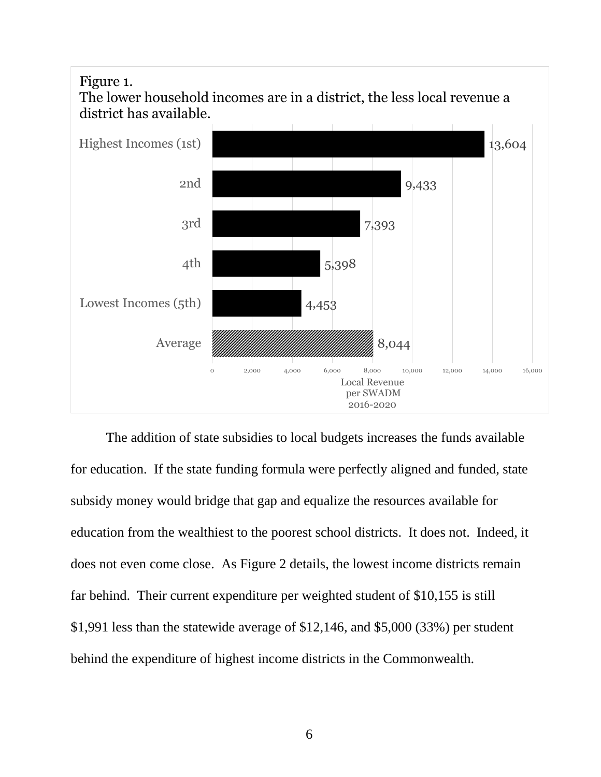# Figure 1.



The lower household incomes are in a district, the less local revenue a

The addition of state subsidies to local budgets increases the funds available for education. If the state funding formula were perfectly aligned and funded, state subsidy money would bridge that gap and equalize the resources available for education from the wealthiest to the poorest school districts. It does not. Indeed, it does not even come close. As Figure 2 details, the lowest income districts remain far behind. Their current expenditure per weighted student of \$10,155 is still \$1,991 less than the statewide average of \$12,146, and \$5,000 (33%) per student behind the expenditure of highest income districts in the Commonwealth.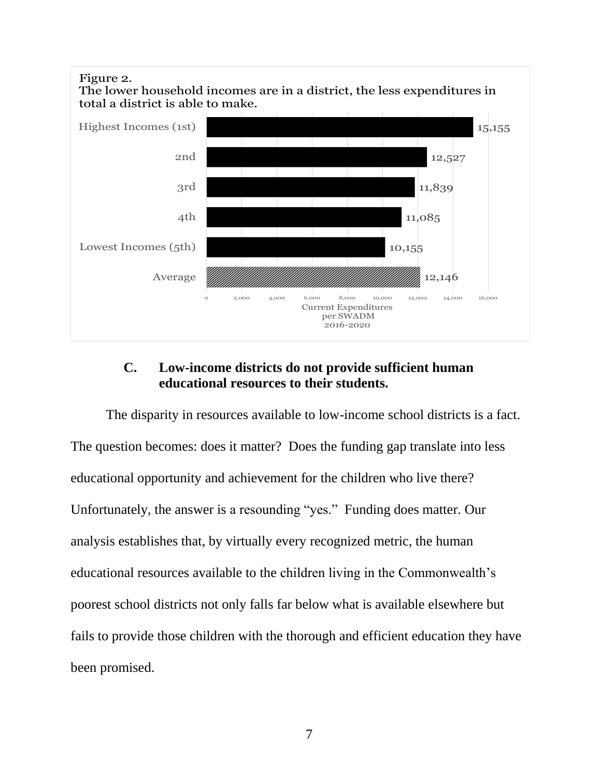

# **C. Low-income districts do not provide sufficient human educational resources to their students.**

<span id="page-8-0"></span>The disparity in resources available to low-income school districts is a fact. The question becomes: does it matter? Does the funding gap translate into less educational opportunity and achievement for the children who live there? Unfortunately, the answer is a resounding "yes." Funding does matter. Our analysis establishes that, by virtually every recognized metric, the human educational resources available to the children living in the Commonwealth's poorest school districts not only falls far below what is available elsewhere but fails to provide those children with the thorough and efficient education they have been promised.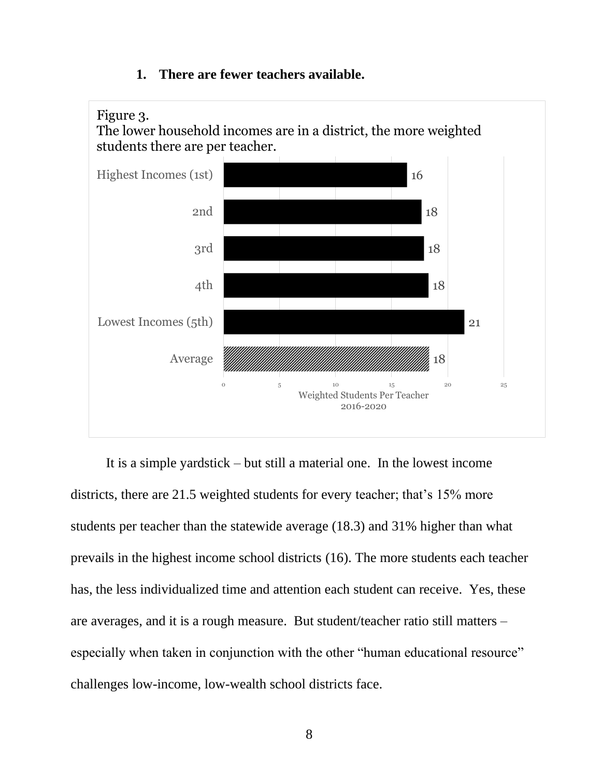# <span id="page-9-0"></span>18 21 18 18 18 16 0  $5$  10  $15$  20  $25$ Average Lowest Incomes (5th) 4th 3rd 2nd Highest Incomes (1st) Weighted Students Per Teacher 2016-2020 Figure 3. The lower household incomes are in a district, the more weighted students there are per teacher.

### **1. There are fewer teachers available.**

It is a simple yardstick – but still a material one. In the lowest income districts, there are 21.5 weighted students for every teacher; that's 15% more students per teacher than the statewide average (18.3) and 31% higher than what prevails in the highest income school districts (16). The more students each teacher has, the less individualized time and attention each student can receive. Yes, these are averages, and it is a rough measure. But student/teacher ratio still matters – especially when taken in conjunction with the other "human educational resource" challenges low-income, low-wealth school districts face.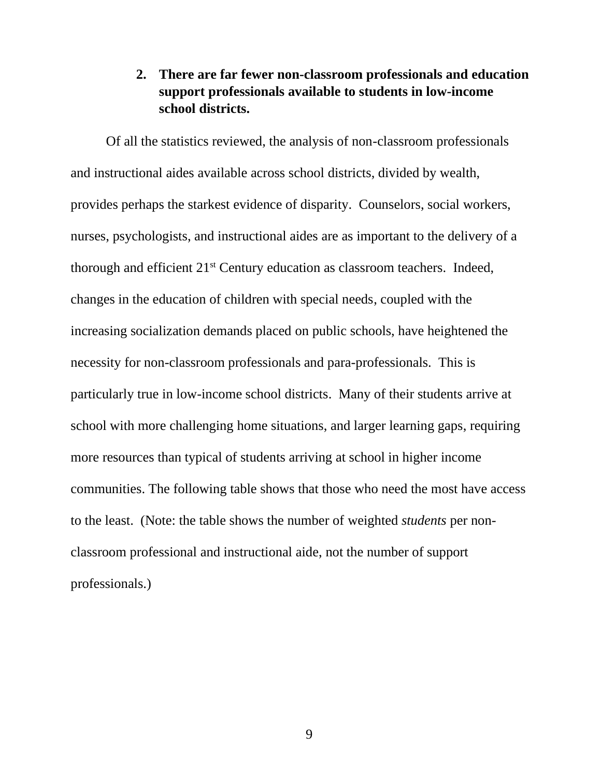## <span id="page-10-0"></span>**2. There are far fewer non-classroom professionals and education support professionals available to students in low-income school districts.**

Of all the statistics reviewed, the analysis of non-classroom professionals and instructional aides available across school districts, divided by wealth, provides perhaps the starkest evidence of disparity. Counselors, social workers, nurses, psychologists, and instructional aides are as important to the delivery of a thorough and efficient 21<sup>st</sup> Century education as classroom teachers. Indeed, changes in the education of children with special needs, coupled with the increasing socialization demands placed on public schools, have heightened the necessity for non-classroom professionals and para-professionals. This is particularly true in low-income school districts. Many of their students arrive at school with more challenging home situations, and larger learning gaps, requiring more resources than typical of students arriving at school in higher income communities. The following table shows that those who need the most have access to the least. (Note: the table shows the number of weighted *students* per nonclassroom professional and instructional aide, not the number of support professionals.)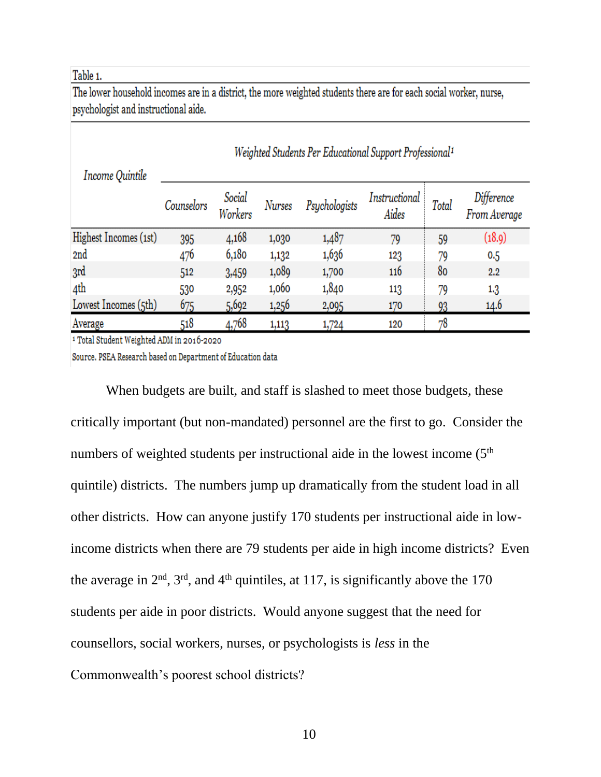#### Table 1.

The lower household incomes are in a district, the more weighted students there are for each social worker, nurse, psychologist and instructional aide.

| Income Quintile       | Weighted Students Per Educational Support Professional <sup>1</sup> |                   |        |               |                        |       |                            |  |
|-----------------------|---------------------------------------------------------------------|-------------------|--------|---------------|------------------------|-------|----------------------------|--|
|                       | Counselors                                                          | Social<br>Workers | Nurses | Psychologists | Instructional<br>Aides | Total | Difference<br>From Average |  |
| Highest Incomes (1st) | 395                                                                 | 4,168             | 1,030  | 1,487         | 79                     | 59    | (18.9)                     |  |
| 2nd                   | 476                                                                 | 6,180             | 1,132  | 1,636         | 123                    | 79    | 0.5                        |  |
| 3rd                   | 512                                                                 | 3,459             | 1,089  | 1,700         | 116                    | 80    | 2.2                        |  |
| 4th                   | 530                                                                 | 2,952             | 1,060  | 1,840         | 113                    | 79    | $1.3\,$                    |  |
| Lowest Incomes (5th)  | 675                                                                 | 5,692             | 1,256  | 2,095         | 170                    | 93    | 14.6                       |  |
| Average               | 518                                                                 | 4,768             | 1,113  | 1,724         | 120                    | 78    |                            |  |

<sup>1</sup> Total Student Weighted ADM in 2016-2020

Source. PSEA Research based on Department of Education data

When budgets are built, and staff is slashed to meet those budgets, these critically important (but non-mandated) personnel are the first to go. Consider the numbers of weighted students per instructional aide in the lowest income  $(5<sup>th</sup>$ quintile) districts. The numbers jump up dramatically from the student load in all other districts. How can anyone justify 170 students per instructional aide in lowincome districts when there are 79 students per aide in high income districts? Even the average in  $2<sup>nd</sup>$ ,  $3<sup>rd</sup>$ , and  $4<sup>th</sup>$  quintiles, at 117, is significantly above the 170 students per aide in poor districts. Would anyone suggest that the need for counsellors, social workers, nurses, or psychologists is *less* in the Commonwealth's poorest school districts?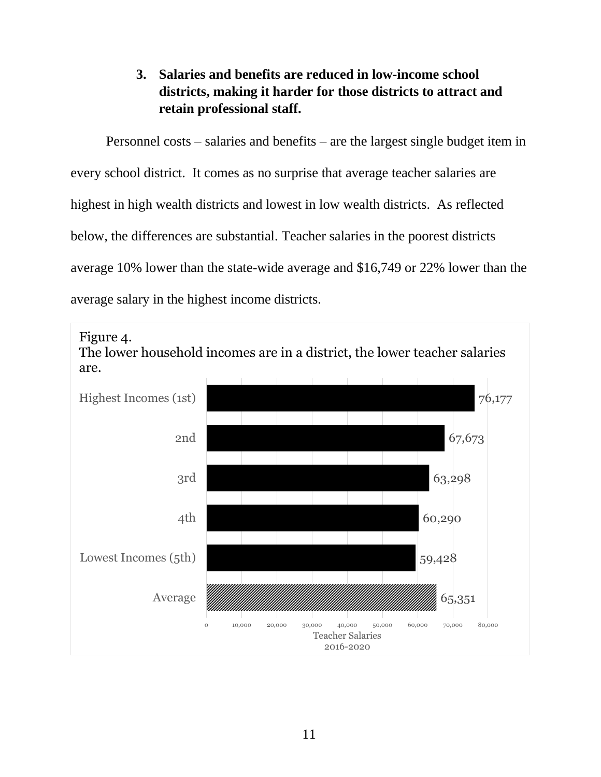# **3. Salaries and benefits are reduced in low-income school districts, making it harder for those districts to attract and retain professional staff.**

<span id="page-12-0"></span>Personnel costs – salaries and benefits – are the largest single budget item in every school district. It comes as no surprise that average teacher salaries are highest in high wealth districts and lowest in low wealth districts. As reflected below, the differences are substantial. Teacher salaries in the poorest districts average 10% lower than the state-wide average and \$16,749 or 22% lower than the average salary in the highest income districts.

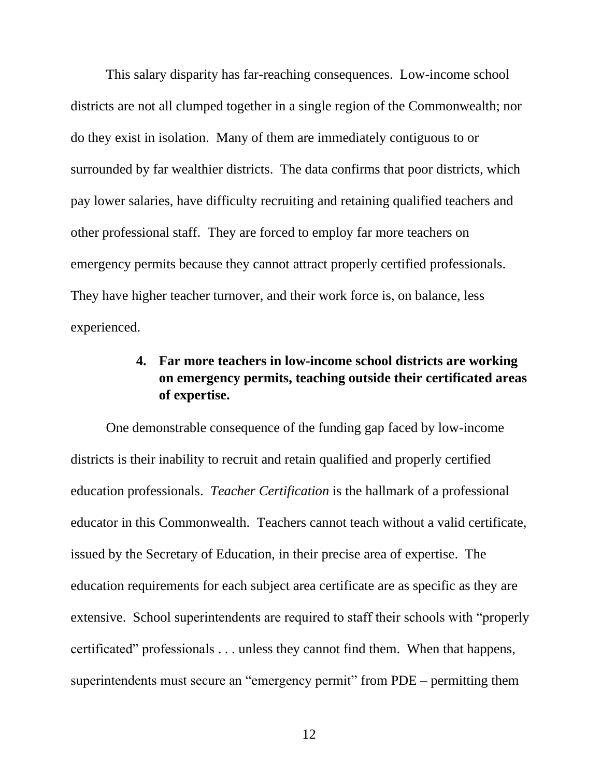This salary disparity has far-reaching consequences. Low-income school districts are not all clumped together in a single region of the Commonwealth; nor do they exist in isolation. Many of them are immediately contiguous to or surrounded by far wealthier districts. The data confirms that poor districts, which pay lower salaries, have difficulty recruiting and retaining qualified teachers and other professional staff. They are forced to employ far more teachers on emergency permits because they cannot attract properly certified professionals. They have higher teacher turnover, and their work force is, on balance, less experienced.

# <span id="page-13-0"></span>**4. Far more teachers in low-income school districts are working on emergency permits, teaching outside their certificated areas of expertise.**

One demonstrable consequence of the funding gap faced by low-income districts is their inability to recruit and retain qualified and properly certified education professionals. *Teacher Certification* is the hallmark of a professional educator in this Commonwealth. Teachers cannot teach without a valid certificate, issued by the Secretary of Education, in their precise area of expertise. The education requirements for each subject area certificate are as specific as they are extensive. School superintendents are required to staff their schools with "properly certificated" professionals . . . unless they cannot find them. When that happens, superintendents must secure an "emergency permit" from PDE – permitting them

12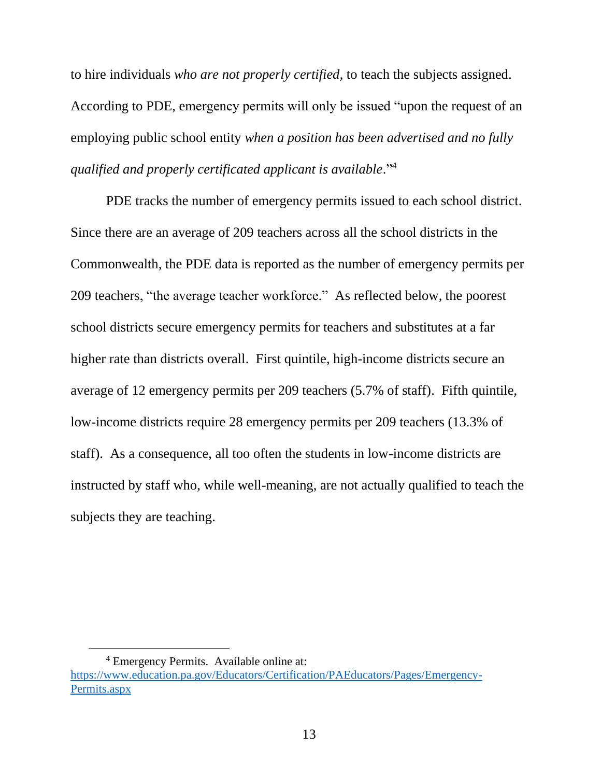to hire individuals *who are not properly certified*, to teach the subjects assigned. According to PDE, emergency permits will only be issued "upon the request of an employing public school entity *when a position has been advertised and no fully qualified and properly certificated applicant is available*." 4

PDE tracks the number of emergency permits issued to each school district. Since there are an average of 209 teachers across all the school districts in the Commonwealth, the PDE data is reported as the number of emergency permits per 209 teachers, "the average teacher workforce." As reflected below, the poorest school districts secure emergency permits for teachers and substitutes at a far higher rate than districts overall. First quintile, high-income districts secure an average of 12 emergency permits per 209 teachers (5.7% of staff). Fifth quintile, low-income districts require 28 emergency permits per 209 teachers (13.3% of staff). As a consequence, all too often the students in low-income districts are instructed by staff who, while well-meaning, are not actually qualified to teach the subjects they are teaching.

<sup>4</sup> Emergency Permits. Available online at: [https://www.education.pa.gov/Educators/Certification/PAEducators/Pages/Emergency-](https://www.education.pa.gov/Educators/Certification/PAEducators/Pages/Emergency-Permits.aspx)[Permits.aspx](https://www.education.pa.gov/Educators/Certification/PAEducators/Pages/Emergency-Permits.aspx)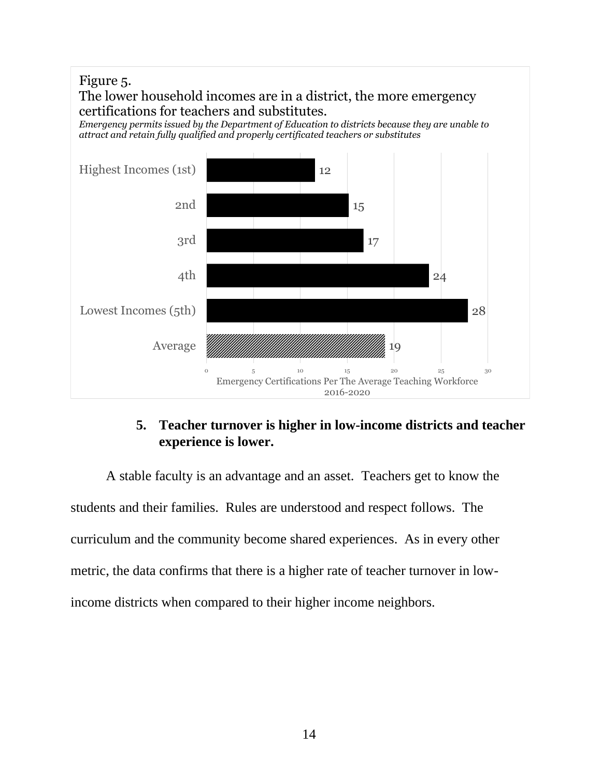

# **5. Teacher turnover is higher in low-income districts and teacher experience is lower.**

<span id="page-15-0"></span>A stable faculty is an advantage and an asset. Teachers get to know the students and their families. Rules are understood and respect follows. The curriculum and the community become shared experiences. As in every other metric, the data confirms that there is a higher rate of teacher turnover in lowincome districts when compared to their higher income neighbors.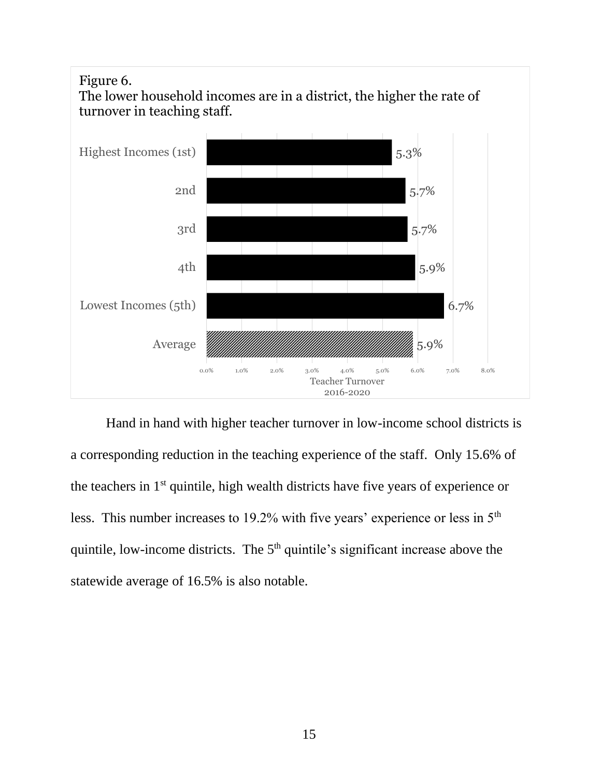

Hand in hand with higher teacher turnover in low-income school districts is a corresponding reduction in the teaching experience of the staff. Only 15.6% of the teachers in 1st quintile, high wealth districts have five years of experience or less. This number increases to 19.2% with five years' experience or less in 5th quintile, low-income districts. The  $5<sup>th</sup>$  quintile's significant increase above the statewide average of 16.5% is also notable.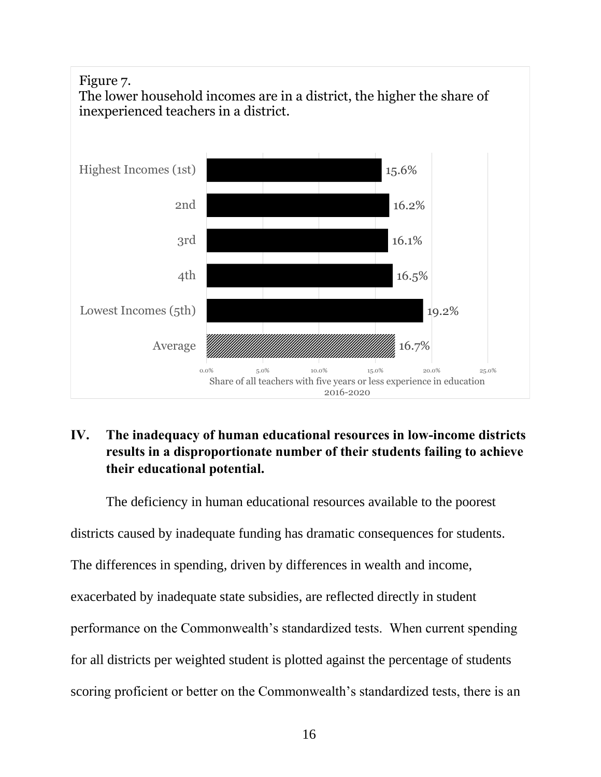

# <span id="page-17-0"></span>**IV. The inadequacy of human educational resources in low-income districts results in a disproportionate number of their students failing to achieve their educational potential.**

The deficiency in human educational resources available to the poorest

districts caused by inadequate funding has dramatic consequences for students.

The differences in spending, driven by differences in wealth and income,

exacerbated by inadequate state subsidies, are reflected directly in student

performance on the Commonwealth's standardized tests. When current spending

for all districts per weighted student is plotted against the percentage of students

scoring proficient or better on the Commonwealth's standardized tests, there is an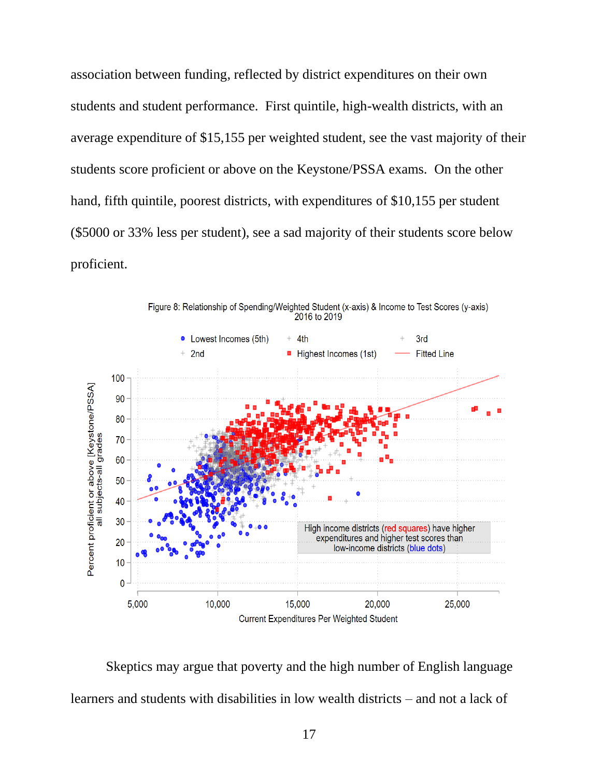association between funding, reflected by district expenditures on their own students and student performance. First quintile, high-wealth districts, with an average expenditure of \$15,155 per weighted student, see the vast majority of their students score proficient or above on the Keystone/PSSA exams. On the other hand, fifth quintile, poorest districts, with expenditures of \$10,155 per student (\$5000 or 33% less per student), see a sad majority of their students score below proficient.



Figure 8: Relationship of Spending/Weighted Student (x-axis) & Income to Test Scores (y-axis) 2016 to 2019

Skeptics may argue that poverty and the high number of English language learners and students with disabilities in low wealth districts – and not a lack of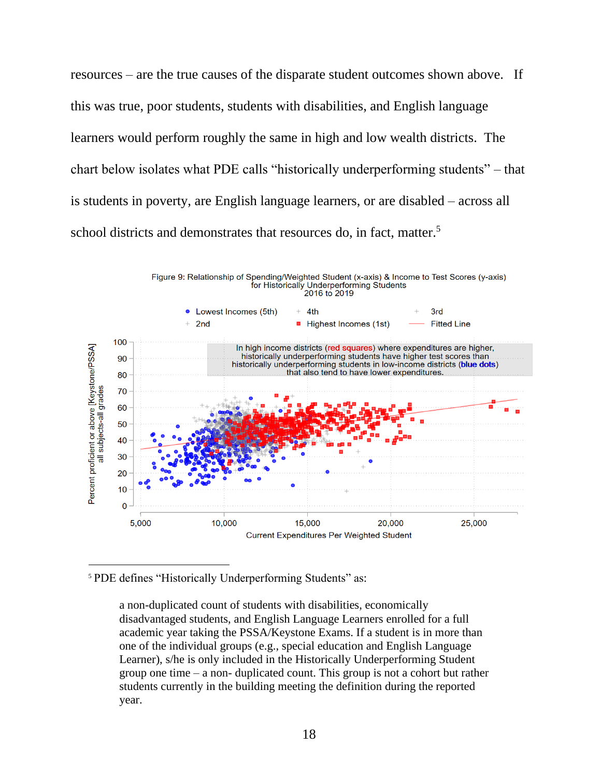resources – are the true causes of the disparate student outcomes shown above. If this was true, poor students, students with disabilities, and English language learners would perform roughly the same in high and low wealth districts. The chart below isolates what PDE calls "historically underperforming students" – that is students in poverty, are English language learners, or are disabled – across all school districts and demonstrates that resources do, in fact, matter. 5



<sup>5</sup> PDE defines "Historically Underperforming Students" as:

a non-duplicated count of students with disabilities, economically disadvantaged students, and English Language Learners enrolled for a full academic year taking the PSSA/Keystone Exams. If a student is in more than one of the individual groups (e.g., special education and English Language Learner), s/he is only included in the Historically Underperforming Student group one time – a non- duplicated count. This group is not a cohort but rather students currently in the building meeting the definition during the reported year.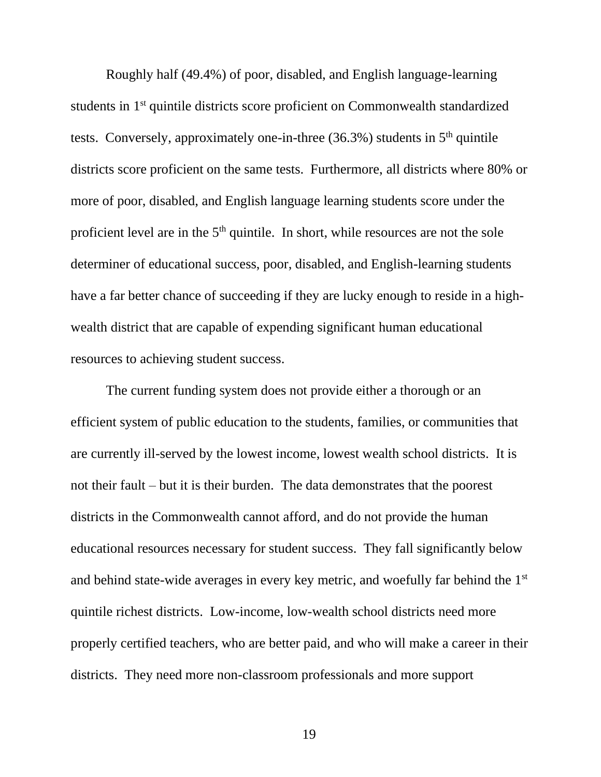Roughly half (49.4%) of poor, disabled, and English language-learning students in 1st quintile districts score proficient on Commonwealth standardized tests. Conversely, approximately one-in-three  $(36.3\%)$  students in  $5<sup>th</sup>$  quintile districts score proficient on the same tests. Furthermore, all districts where 80% or more of poor, disabled, and English language learning students score under the proficient level are in the 5<sup>th</sup> quintile. In short, while resources are not the sole determiner of educational success, poor, disabled, and English-learning students have a far better chance of succeeding if they are lucky enough to reside in a highwealth district that are capable of expending significant human educational resources to achieving student success.

The current funding system does not provide either a thorough or an efficient system of public education to the students, families, or communities that are currently ill-served by the lowest income, lowest wealth school districts. It is not their fault – but it is their burden. The data demonstrates that the poorest districts in the Commonwealth cannot afford, and do not provide the human educational resources necessary for student success. They fall significantly below and behind state-wide averages in every key metric, and woefully far behind the 1st quintile richest districts. Low-income, low-wealth school districts need more properly certified teachers, who are better paid, and who will make a career in their districts. They need more non-classroom professionals and more support

19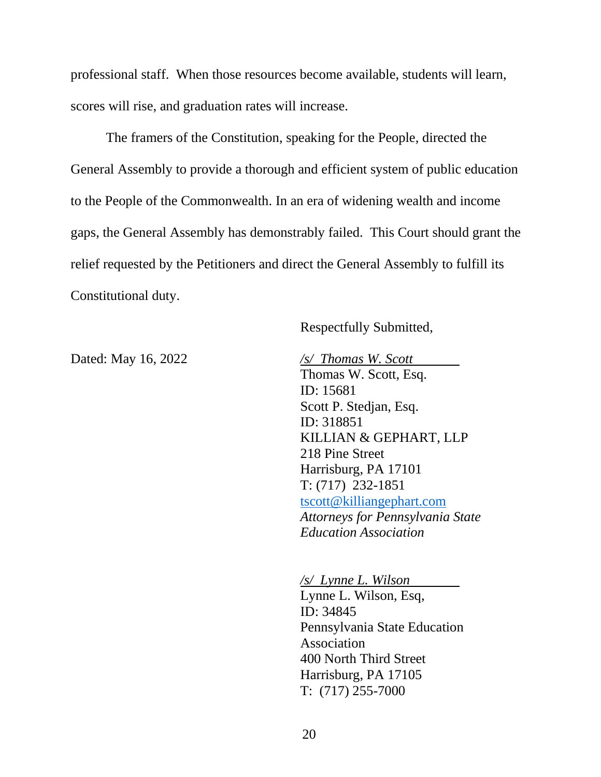professional staff. When those resources become available, students will learn, scores will rise, and graduation rates will increase.

The framers of the Constitution, speaking for the People, directed the General Assembly to provide a thorough and efficient system of public education to the People of the Commonwealth. In an era of widening wealth and income gaps, the General Assembly has demonstrably failed. This Court should grant the relief requested by the Petitioners and direct the General Assembly to fulfill its Constitutional duty.

Respectfully Submitted,

Dated: May 16, 2022 */s/ Thomas W. Scott* Thomas W. Scott, Esq. ID: 15681 Scott P. Stedjan, Esq. ID: 318851 KILLIAN & GEPHART, LLP 218 Pine Street Harrisburg, PA 17101 T: (717) 232-1851 [tscott@killiangephart.com](mailto:tscott@killiangephart.com) *Attorneys for Pennsylvania State Education Association*

> */s/ Lynne L. Wilson* Lynne L. Wilson, Esq, ID: 34845 Pennsylvania State Education Association 400 North Third Street Harrisburg, PA 17105 T: (717) 255-7000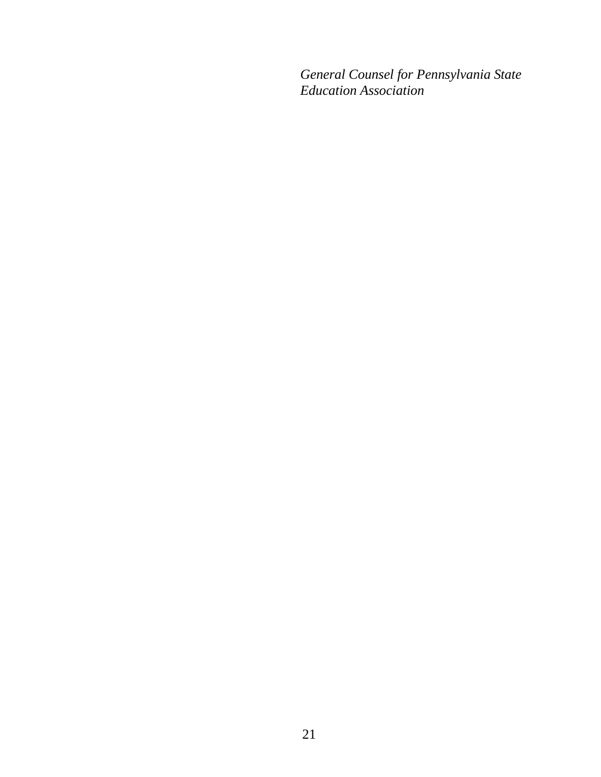*General Counsel for Pennsylvania State Education Association*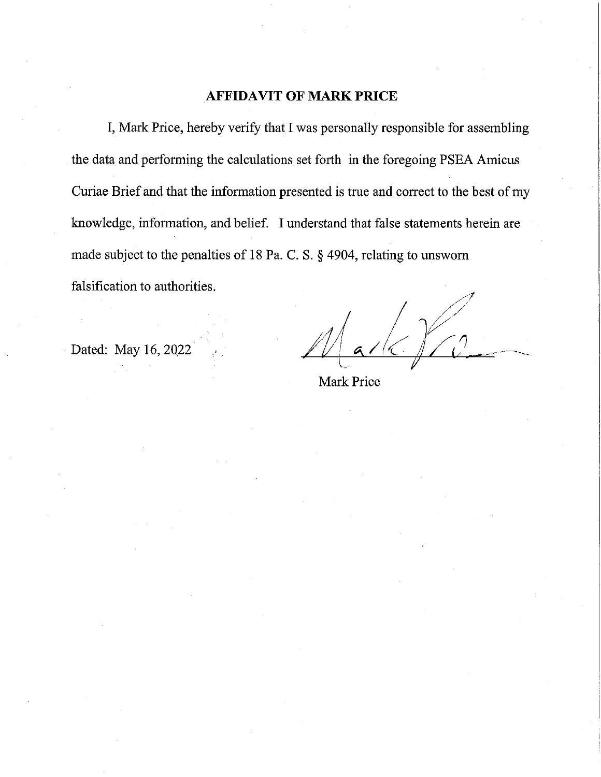### **AFFIDAVIT OF MARK PRICE**

I, Mark Price, hereby verify that I was personally responsible for assembling the data and performing the calculations set forth in the foregoing PSEA Amicus Curiae Brief and that the information presented is true and correct to the best of my knowledge, information, and belief. I understand that false statements herein are made subject to the penalties of 18 Pa. C. S. § 4904, relating to unsworn falsification to authorities.

Dated: May 16, 2022

Mark Price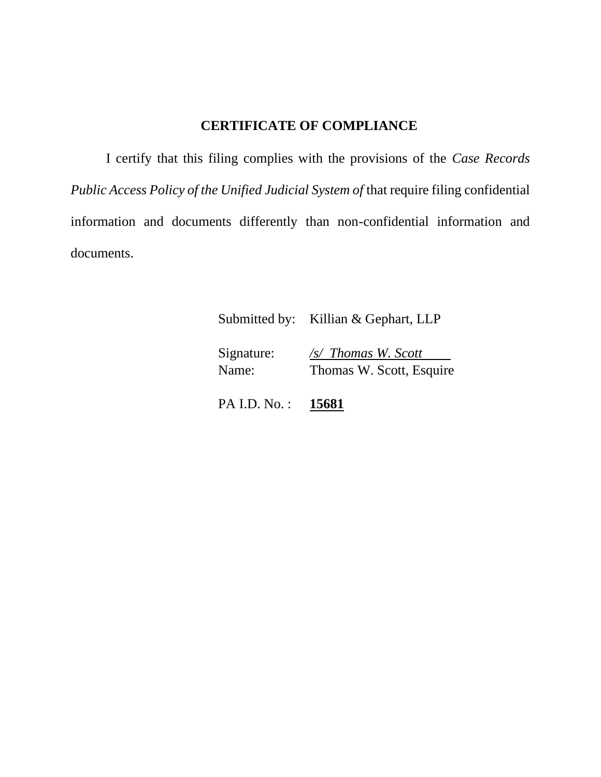# **CERTIFICATE OF COMPLIANCE**

I certify that this filing complies with the provisions of the *Case Records Public Access Policy of the Unified Judicial System of* that require filing confidential information and documents differently than non-confidential information and documents.

| Submitted by: | Killian & Gephart, LLP |
|---------------|------------------------|
|               |                        |

Signature: */s/ Thomas W. Scott*

Name: Thomas W. Scott, Esquire

PA I.D. No. : **15681**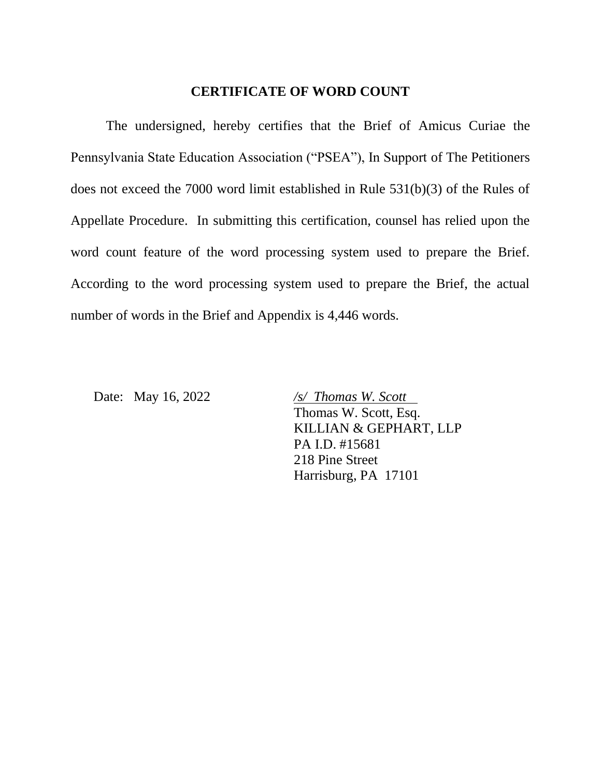#### **CERTIFICATE OF WORD COUNT**

The undersigned, hereby certifies that the Brief of Amicus Curiae the Pennsylvania State Education Association ("PSEA"), In Support of The Petitioners does not exceed the 7000 word limit established in Rule 531(b)(3) of the Rules of Appellate Procedure. In submitting this certification, counsel has relied upon the word count feature of the word processing system used to prepare the Brief. According to the word processing system used to prepare the Brief, the actual number of words in the Brief and Appendix is 4,446 words.

Date: May 16, 2022 */s/ Thomas W. Scott* Thomas W. Scott, Esq. KILLIAN & GEPHART, LLP PA I.D. #15681 218 Pine Street Harrisburg, PA 17101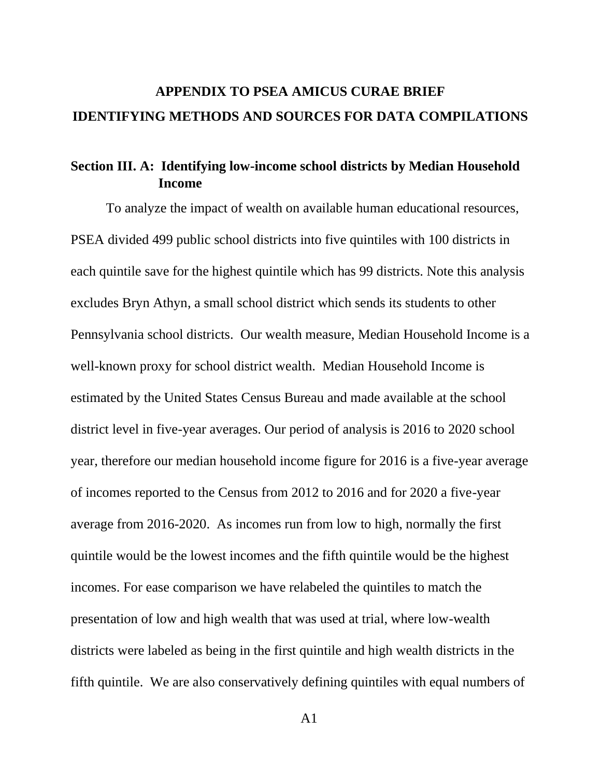# **APPENDIX TO PSEA AMICUS CURAE BRIEF IDENTIFYING METHODS AND SOURCES FOR DATA COMPILATIONS**

## **Section III. A: Identifying low-income school districts by Median Household Income**

To analyze the impact of wealth on available human educational resources, PSEA divided 499 public school districts into five quintiles with 100 districts in each quintile save for the highest quintile which has 99 districts. Note this analysis excludes Bryn Athyn, a small school district which sends its students to other Pennsylvania school districts. Our wealth measure, Median Household Income is a well-known proxy for school district wealth. Median Household Income is estimated by the United States Census Bureau and made available at the school district level in five-year averages. Our period of analysis is 2016 to 2020 school year, therefore our median household income figure for 2016 is a five-year average of incomes reported to the Census from 2012 to 2016 and for 2020 a five-year average from 2016-2020. As incomes run from low to high, normally the first quintile would be the lowest incomes and the fifth quintile would be the highest incomes. For ease comparison we have relabeled the quintiles to match the presentation of low and high wealth that was used at trial, where low-wealth districts were labeled as being in the first quintile and high wealth districts in the fifth quintile. We are also conservatively defining quintiles with equal numbers of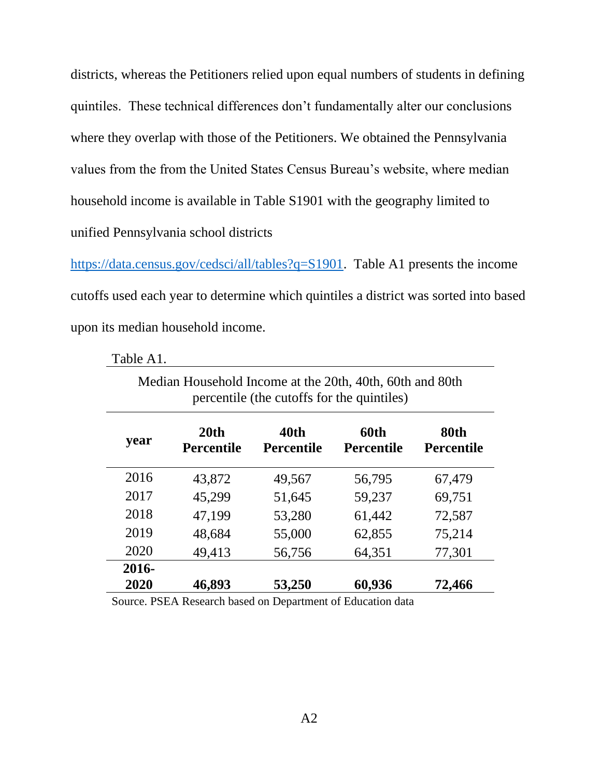districts, whereas the Petitioners relied upon equal numbers of students in defining quintiles. These technical differences don't fundamentally alter our conclusions where they overlap with those of the Petitioners. We obtained the Pennsylvania values from the from the United States Census Bureau's website, where median household income is available in Table S1901 with the geography limited to unified Pennsylvania school districts

[https://data.census.gov/cedsci/all/tables?q=S1901.](https://data.census.gov/cedsci/all/tables?q=S1901) Table A1 presents the income cutoffs used each year to determine which quintiles a district was sorted into based upon its median household income.

| Median Household Income at the 20th, 40th, 60th and 80th<br>percentile (the cutoffs for the quintiles) |                                       |                           |                           |                           |  |  |  |  |
|--------------------------------------------------------------------------------------------------------|---------------------------------------|---------------------------|---------------------------|---------------------------|--|--|--|--|
| year                                                                                                   | 20 <sub>th</sub><br><b>Percentile</b> | 40th<br><b>Percentile</b> | 60th<br><b>Percentile</b> | 80th<br><b>Percentile</b> |  |  |  |  |
| 2016                                                                                                   | 43,872                                | 49,567                    | 56,795                    | 67,479                    |  |  |  |  |
| 2017                                                                                                   | 45,299                                | 51,645                    | 59,237                    | 69,751                    |  |  |  |  |
| 2018                                                                                                   | 47,199                                | 53,280                    | 61,442                    | 72,587                    |  |  |  |  |
| 2019                                                                                                   | 48,684                                | 55,000                    | 62,855                    | 75,214                    |  |  |  |  |
| 2020                                                                                                   | 49,413                                | 56,756                    | 64,351                    | 77,301                    |  |  |  |  |
| 2016-                                                                                                  |                                       |                           |                           |                           |  |  |  |  |
| 2020                                                                                                   | 46,893                                | 53,250                    | 60,936                    | 72,466                    |  |  |  |  |

Table A1.

Source. PSEA Research based on Department of Education data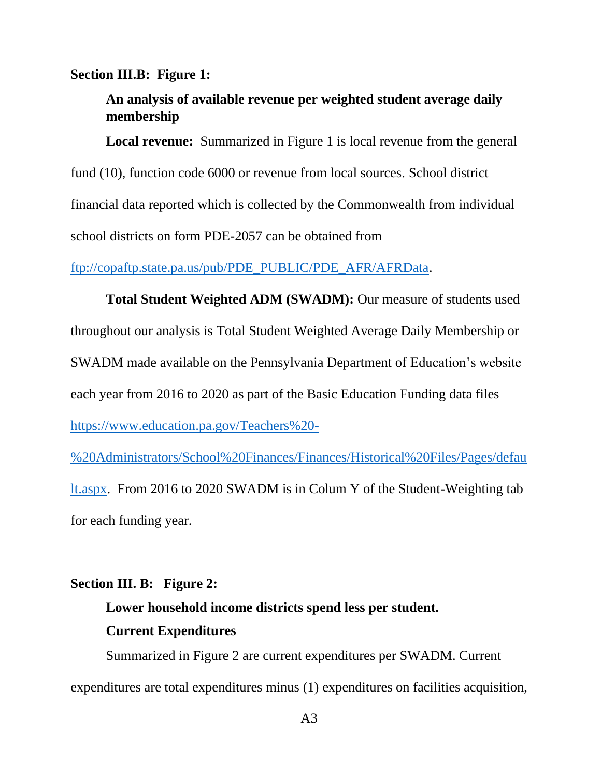#### **Section III.B: Figure 1:**

# **An analysis of available revenue per weighted student average daily membership**

**Local revenue:** Summarized in Figure 1 is local revenue from the general fund (10), function code 6000 or revenue from local sources. School district financial data reported which is collected by the Commonwealth from individual school districts on form PDE-2057 can be obtained from

[ftp://copaftp.state.pa.us/pub/PDE\\_PUBLIC/PDE\\_AFR/AFRData.](ftp://copaftp.state.pa.us/pub/PDE_PUBLIC/PDE_AFR/AFRData)

**Total Student Weighted ADM (SWADM):** Our measure of students used throughout our analysis is Total Student Weighted Average Daily Membership or SWADM made available on the Pennsylvania Department of Education's website each year from 2016 to 2020 as part of the Basic Education Funding data files [https://www.education.pa.gov/Teachers%20-](https://www.education.pa.gov/Teachers%20-%20Administrators/School%20Finances/Finances/Historical%20Files/Pages/default.aspx)

[%20Administrators/School%20Finances/Finances/Historical%20Files/Pages/defau](https://www.education.pa.gov/Teachers%20-%20Administrators/School%20Finances/Finances/Historical%20Files/Pages/default.aspx) [lt.aspx.](https://www.education.pa.gov/Teachers%20-%20Administrators/School%20Finances/Finances/Historical%20Files/Pages/default.aspx) From 2016 to 2020 SWADM is in Colum Y of the Student-Weighting tab for each funding year.

### **Section III. B: Figure 2:**

# **Lower household income districts spend less per student. Current Expenditures**

Summarized in Figure 2 are current expenditures per SWADM. Current expenditures are total expenditures minus (1) expenditures on facilities acquisition,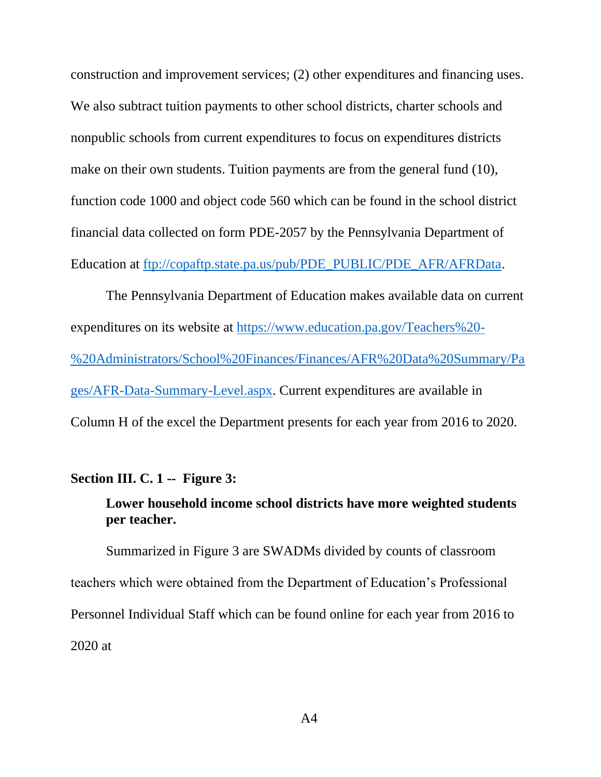construction and improvement services; (2) other expenditures and financing uses. We also subtract tuition payments to other school districts, charter schools and nonpublic schools from current expenditures to focus on expenditures districts make on their own students. Tuition payments are from the general fund (10), function code 1000 and object code 560 which can be found in the school district financial data collected on form PDE-2057 by the Pennsylvania Department of Education at [ftp://copaftp.state.pa.us/pub/PDE\\_PUBLIC/PDE\\_AFR/AFRData.](ftp://copaftp.state.pa.us/pub/PDE_PUBLIC/PDE_AFR/AFRData)

The Pennsylvania Department of Education makes available data on current expenditures on its website at [https://www.education.pa.gov/Teachers%20-](https://www.education.pa.gov/Teachers%20-%20Administrators/School%20Finances/Finances/AFR%20Data%20Summary/Pages/AFR-Data-Summary-Level.aspx) [%20Administrators/School%20Finances/Finances/AFR%20Data%20Summary/Pa](https://www.education.pa.gov/Teachers%20-%20Administrators/School%20Finances/Finances/AFR%20Data%20Summary/Pages/AFR-Data-Summary-Level.aspx) [ges/AFR-Data-Summary-Level.aspx.](https://www.education.pa.gov/Teachers%20-%20Administrators/School%20Finances/Finances/AFR%20Data%20Summary/Pages/AFR-Data-Summary-Level.aspx) Current expenditures are available in Column H of the excel the Department presents for each year from 2016 to 2020.

#### **Section III. C. 1 -- Figure 3:**

# **Lower household income school districts have more weighted students per teacher.**

Summarized in Figure 3 are SWADMs divided by counts of classroom teachers which were obtained from the Department of Education's Professional Personnel Individual Staff which can be found online for each year from 2016 to 2020 at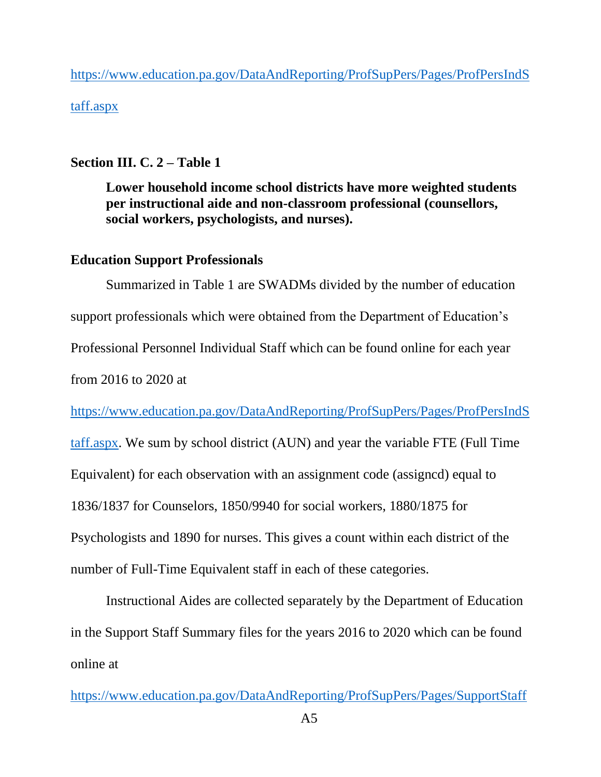[https://www.education.pa.gov/DataAndReporting/ProfSupPers/Pages/ProfPersIndS](https://www.education.pa.gov/DataAndReporting/ProfSupPers/Pages/ProfPersIndStaff.aspx) [taff.aspx](https://www.education.pa.gov/DataAndReporting/ProfSupPers/Pages/ProfPersIndStaff.aspx)

### **Section III. C. 2 – Table 1**

**Lower household income school districts have more weighted students per instructional aide and non-classroom professional (counsellors, social workers, psychologists, and nurses).**

### **Education Support Professionals**

Summarized in Table 1 are SWADMs divided by the number of education support professionals which were obtained from the Department of Education's Professional Personnel Individual Staff which can be found online for each year from 2016 to 2020 at

[https://www.education.pa.gov/DataAndReporting/ProfSupPers/Pages/ProfPersIndS](https://www.education.pa.gov/DataAndReporting/ProfSupPers/Pages/ProfPersIndStaff.aspx)

[taff.aspx.](https://www.education.pa.gov/DataAndReporting/ProfSupPers/Pages/ProfPersIndStaff.aspx) We sum by school district (AUN) and year the variable FTE (Full Time Equivalent) for each observation with an assignment code (assigncd) equal to 1836/1837 for Counselors, 1850/9940 for social workers, 1880/1875 for Psychologists and 1890 for nurses. This gives a count within each district of the number of Full-Time Equivalent staff in each of these categories.

Instructional Aides are collected separately by the Department of Education in the Support Staff Summary files for the years 2016 to 2020 which can be found online at

 $A<sub>5</sub>$ [https://www.education.pa.gov/DataAndReporting/ProfSupPers/Pages/SupportStaff](https://www.education.pa.gov/DataAndReporting/ProfSupPers/Pages/SupportStaffSum.aspx)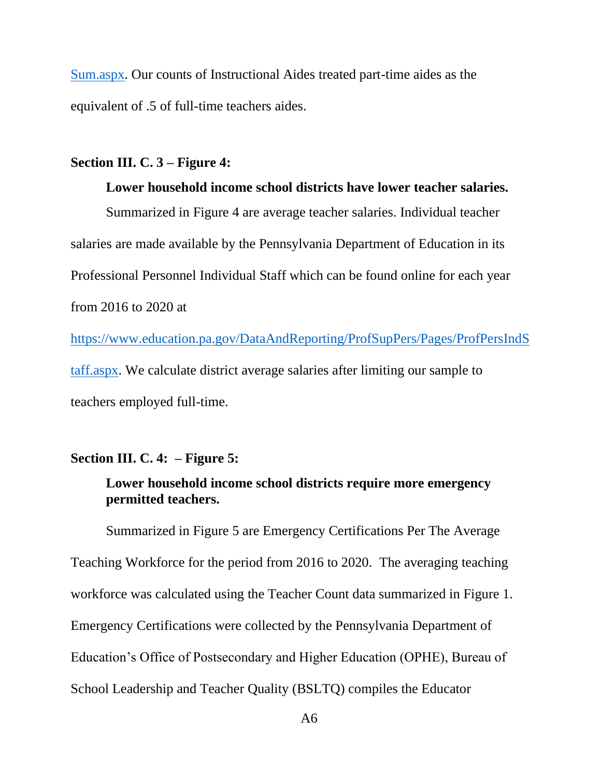[Sum.aspx.](https://www.education.pa.gov/DataAndReporting/ProfSupPers/Pages/SupportStaffSum.aspx) Our counts of Instructional Aides treated part-time aides as the equivalent of .5 of full-time teachers aides.

### **Section III. C. 3 – Figure 4:**

**Lower household income school districts have lower teacher salaries.** Summarized in Figure 4 are average teacher salaries. Individual teacher salaries are made available by the Pennsylvania Department of Education in its Professional Personnel Individual Staff which can be found online for each year from 2016 to 2020 at

[https://www.education.pa.gov/DataAndReporting/ProfSupPers/Pages/ProfPersIndS](https://www.education.pa.gov/DataAndReporting/ProfSupPers/Pages/ProfPersIndStaff.aspx) [taff.aspx.](https://www.education.pa.gov/DataAndReporting/ProfSupPers/Pages/ProfPersIndStaff.aspx) We calculate district average salaries after limiting our sample to teachers employed full-time.

#### **Section III. C. 4: – Figure 5:**

# **Lower household income school districts require more emergency permitted teachers.**

Summarized in Figure 5 are Emergency Certifications Per The Average Teaching Workforce for the period from 2016 to 2020. The averaging teaching workforce was calculated using the Teacher Count data summarized in Figure 1. Emergency Certifications were collected by the Pennsylvania Department of Education's Office of Postsecondary and Higher Education (OPHE), Bureau of School Leadership and Teacher Quality (BSLTQ) compiles the Educator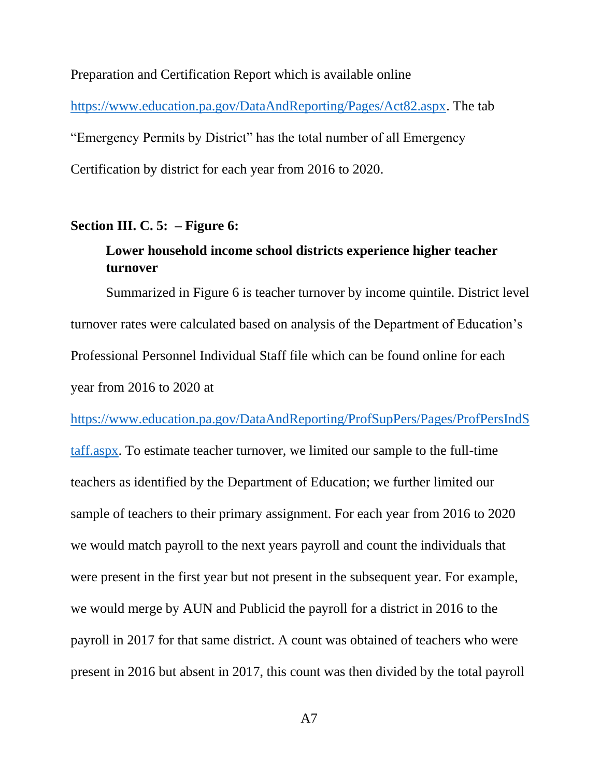Preparation and Certification Report which is available online [https://www.education.pa.gov/DataAndReporting/Pages/Act82.aspx.](https://www.education.pa.gov/DataAndReporting/Pages/Act82.aspx) The tab "Emergency Permits by District" has the total number of all Emergency Certification by district for each year from 2016 to 2020.

#### **Section III. C. 5: – Figure 6:**

# **Lower household income school districts experience higher teacher turnover**

Summarized in Figure 6 is teacher turnover by income quintile. District level turnover rates were calculated based on analysis of the Department of Education's Professional Personnel Individual Staff file which can be found online for each year from 2016 to 2020 at

[https://www.education.pa.gov/DataAndReporting/ProfSupPers/Pages/ProfPersIndS](https://www.education.pa.gov/DataAndReporting/ProfSupPers/Pages/ProfPersIndStaff.aspx)

[taff.aspx.](https://www.education.pa.gov/DataAndReporting/ProfSupPers/Pages/ProfPersIndStaff.aspx) To estimate teacher turnover, we limited our sample to the full-time teachers as identified by the Department of Education; we further limited our sample of teachers to their primary assignment. For each year from 2016 to 2020 we would match payroll to the next years payroll and count the individuals that were present in the first year but not present in the subsequent year. For example, we would merge by AUN and Publicid the payroll for a district in 2016 to the payroll in 2017 for that same district. A count was obtained of teachers who were present in 2016 but absent in 2017, this count was then divided by the total payroll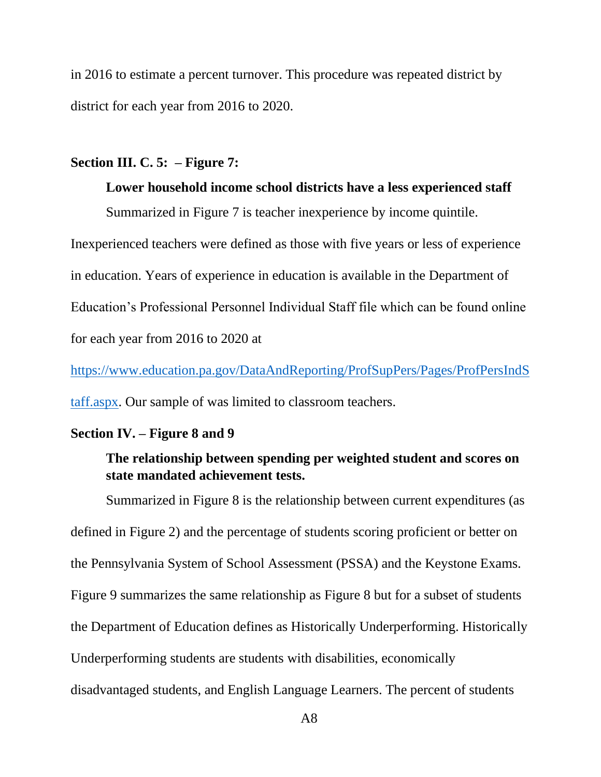in 2016 to estimate a percent turnover. This procedure was repeated district by district for each year from 2016 to 2020.

### **Section III. C. 5: – Figure 7:**

**Lower household income school districts have a less experienced staff** Summarized in Figure 7 is teacher inexperience by income quintile. Inexperienced teachers were defined as those with five years or less of experience in education. Years of experience in education is available in the Department of Education's Professional Personnel Individual Staff file which can be found online for each year from 2016 to 2020 at

[https://www.education.pa.gov/DataAndReporting/ProfSupPers/Pages/ProfPersIndS](https://www.education.pa.gov/DataAndReporting/ProfSupPers/Pages/ProfPersIndStaff.aspx) [taff.aspx.](https://www.education.pa.gov/DataAndReporting/ProfSupPers/Pages/ProfPersIndStaff.aspx) Our sample of was limited to classroom teachers.

### **Section IV. – Figure 8 and 9**

# **The relationship between spending per weighted student and scores on state mandated achievement tests.**

Summarized in Figure 8 is the relationship between current expenditures (as defined in Figure 2) and the percentage of students scoring proficient or better on the Pennsylvania System of School Assessment (PSSA) and the Keystone Exams. Figure 9 summarizes the same relationship as Figure 8 but for a subset of students the Department of Education defines as Historically Underperforming. Historically Underperforming students are students with disabilities, economically disadvantaged students, and English Language Learners. The percent of students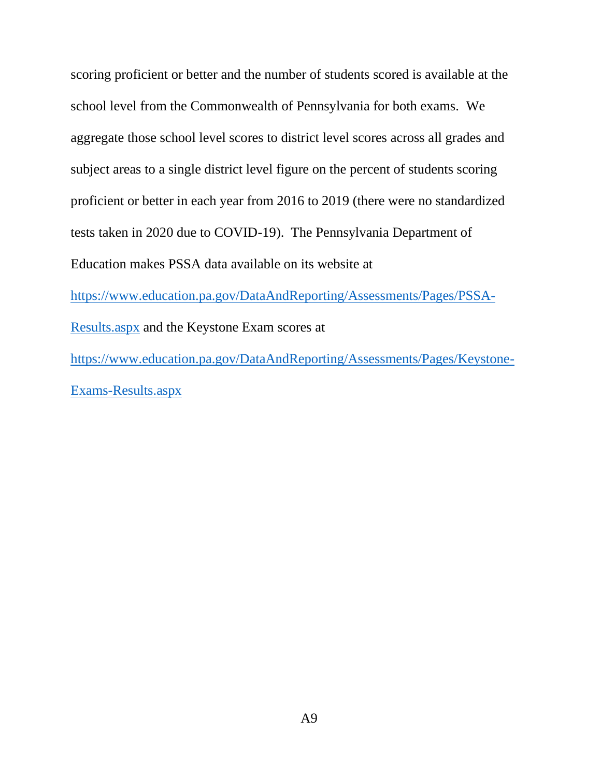scoring proficient or better and the number of students scored is available at the school level from the Commonwealth of Pennsylvania for both exams. We aggregate those school level scores to district level scores across all grades and subject areas to a single district level figure on the percent of students scoring proficient or better in each year from 2016 to 2019 (there were no standardized tests taken in 2020 due to COVID-19). The Pennsylvania Department of Education makes PSSA data available on its website at [https://www.education.pa.gov/DataAndReporting/Assessments/Pages/PSSA-](https://www.education.pa.gov/DataAndReporting/Assessments/Pages/PSSA-Results.aspx)[Results.aspx](https://www.education.pa.gov/DataAndReporting/Assessments/Pages/PSSA-Results.aspx) and the Keystone Exam scores at [https://www.education.pa.gov/DataAndReporting/Assessments/Pages/Keystone-](https://www.education.pa.gov/DataAndReporting/Assessments/Pages/Keystone-Exams-Results.aspx)[Exams-Results.aspx](https://www.education.pa.gov/DataAndReporting/Assessments/Pages/Keystone-Exams-Results.aspx)